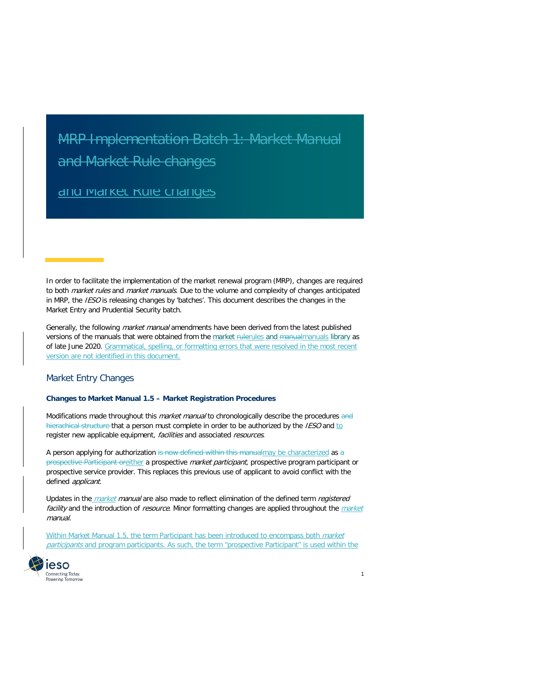# and Market Rale Granges MRP Implementation Batch 1: Market Manual and Market Rule changes

# <u>and warket Rule changes</u>

In order to facilitate the implementation of the market renewal program (MRP), changes are required to both *market rules* and *market manuals*. Due to the volume and complexity of changes anticipated in MRP, the *IESO* is releasing changes by 'batches'. This document describes the changes in the Market Entry and Prudential Security batch.

Generally, the following market manual amendments have been derived from the latest published versions of the manuals that were obtained from the market rulerules [and manualmanuals](http://www.ieso.ca/en/Sector-Participants/Market-Operations/Market-Rules-And-Manuals-Library) library as of late June 2020. Grammatical, spelling, or formatting errors that were resolved in the most recent version are not identified in this document.

#### Market Entry Changes

#### **Changes to Market Manual 1.5 – Market Registration Procedures**

Modifications made throughout this *market manual* to chronologically describe the procedures and hierachical structure that a person must complete in order to be authorized by the IESO and to register new applicable equipment, facilities and associated resources.

A person applying for authorization is now defined within this manualmay be characterized as  $a$ prospective Participant oreither a prospective *market participant*, prospective program participant or prospective service provider. This replaces this previous use of applicant to avoid conflict with the defined applicant.

Updates in the *market manual* are also made to reflect elimination of the defined term *registered* facility and the introduction of resource. Minor formatting changes are applied throughout the market manual.

Within Market Manual 1.5, the term Participant has been introduced to encompass both market participants and program participants. As such, the term "prospective Participant" is used within the

1

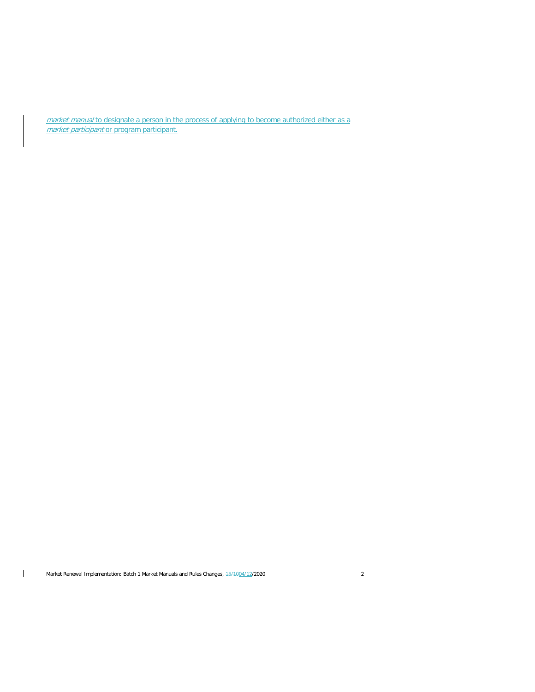market manual to designate a person in the process of applying to become authorized either as a market participant or program participant.

Market Renewal Implementation: Batch 1 Market Manuals and Rules Changes,  $\frac{15}{1004}/12/2020$  2

 $\mathbf{I}$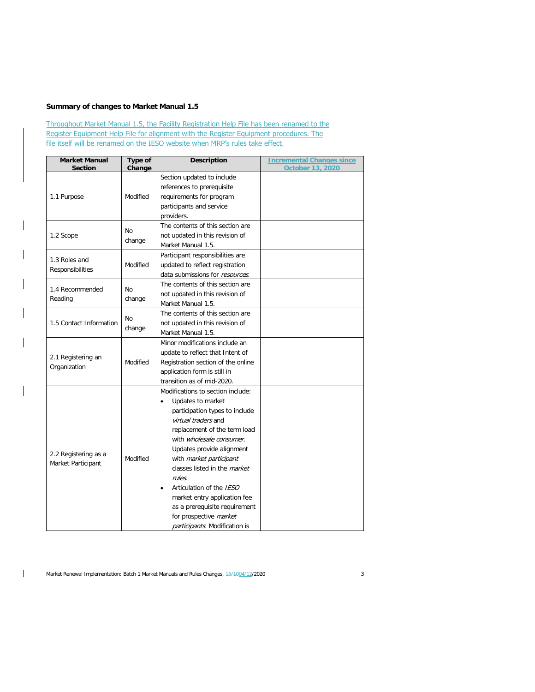# **Summary of changes to Market Manual 1.5**

Throughout Market Manual 1.5, the Facility Registration Help File has been renamed to the Register Equipment Help File for alignment with the Register Equipment procedures. The file itself will be renamed on the IESO website when MRP's rules take effect.

| <b>Market Manual</b>    | Type of   | <b>Description</b>                    | <b>Incremental Changes since</b> |  |
|-------------------------|-----------|---------------------------------------|----------------------------------|--|
| <b>Section</b>          | Change    |                                       | October 13, 2020                 |  |
|                         |           | Section updated to include            |                                  |  |
|                         |           | references to prerequisite            |                                  |  |
| 1.1 Purpose             | Modified  | requirements for program              |                                  |  |
|                         |           | participants and service              |                                  |  |
|                         |           | providers.                            |                                  |  |
|                         | <b>No</b> | The contents of this section are      |                                  |  |
| 1.2 Scope               | change    | not updated in this revision of       |                                  |  |
|                         |           | Market Manual 1.5.                    |                                  |  |
| 1.3 Roles and           |           | Participant responsibilities are      |                                  |  |
|                         | Modified  | updated to reflect registration       |                                  |  |
| Responsibilities        |           | data submissions for resources.       |                                  |  |
|                         |           | The contents of this section are      |                                  |  |
| 1.4 Recommended         | <b>No</b> | not updated in this revision of       |                                  |  |
| Reading                 | change    | Market Manual 1.5.                    |                                  |  |
|                         |           | The contents of this section are      |                                  |  |
| 1.5 Contact Information | <b>No</b> | not updated in this revision of       |                                  |  |
|                         | change    | Market Manual 1.5.                    |                                  |  |
|                         |           | Minor modifications include an        |                                  |  |
|                         |           | update to reflect that Intent of      |                                  |  |
| 2.1 Registering an      | Modified  | Registration section of the online    |                                  |  |
| Organization            |           | application form is still in          |                                  |  |
|                         |           | transition as of mid-2020.            |                                  |  |
|                         |           |                                       |                                  |  |
|                         |           | Modifications to section include:     |                                  |  |
|                         |           | Updates to market<br>$\bullet$        |                                  |  |
|                         |           | participation types to include        |                                  |  |
|                         |           | virtual traders and                   |                                  |  |
|                         |           | replacement of the term load          |                                  |  |
|                         |           | with wholesale consumer.              |                                  |  |
| 2.2 Registering as a    |           | Updates provide alignment             |                                  |  |
| Market Participant      | Modified  | with market participant               |                                  |  |
|                         |           | classes listed in the <i>market</i>   |                                  |  |
|                         |           | rules.                                |                                  |  |
|                         |           | Articulation of the IESO<br>$\bullet$ |                                  |  |
|                         |           | market entry application fee          |                                  |  |
|                         |           | as a prerequisite requirement         |                                  |  |
|                         |           | for prospective market                |                                  |  |
|                         |           | participants. Modification is         |                                  |  |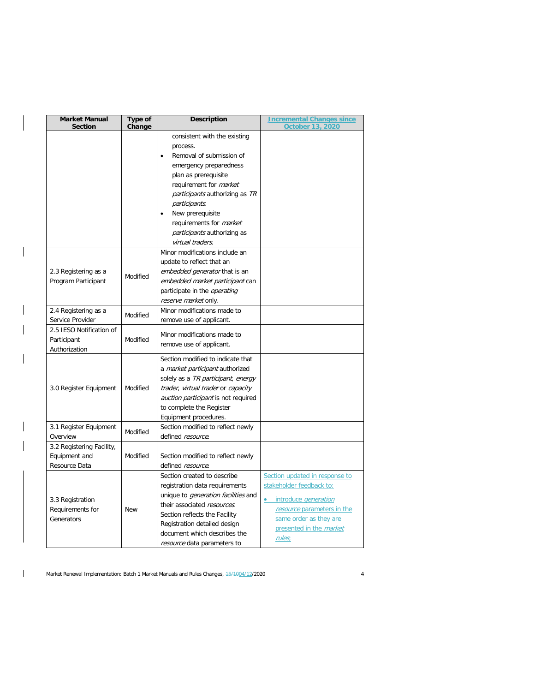| <b>Market Manual</b><br><b>Section</b>                      | Type of<br>Change | <b>Description</b>                                                                                                                                                                                                                                                                                                                                   | <b>Incremental Changes since</b><br><b>October 13, 2020</b>                                                                                                                            |
|-------------------------------------------------------------|-------------------|------------------------------------------------------------------------------------------------------------------------------------------------------------------------------------------------------------------------------------------------------------------------------------------------------------------------------------------------------|----------------------------------------------------------------------------------------------------------------------------------------------------------------------------------------|
|                                                             |                   | consistent with the existing<br>process.<br>Removal of submission of<br>$\bullet$<br>emergency preparedness<br>plan as prerequisite<br>requirement for <i>market</i><br><i>participants</i> authorizing as TR<br>participants.<br>New prerequisite<br>$\bullet$<br>requirements for <i>market</i><br>participants authorizing as<br>virtual traders. |                                                                                                                                                                                        |
| 2.3 Registering as a<br>Program Participant                 | Modified          | Minor modifications include an<br>update to reflect that an<br>embedded generator that is an<br>embedded market participant can<br>participate in the <i>operating</i><br>reserve market only.                                                                                                                                                       |                                                                                                                                                                                        |
| 2.4 Registering as a<br>Service Provider                    | Modified          | Minor modifications made to<br>remove use of applicant.                                                                                                                                                                                                                                                                                              |                                                                                                                                                                                        |
| 2.5 IESO Notification of<br>Participant<br>Authorization    | Modified          | Minor modifications made to<br>remove use of applicant.                                                                                                                                                                                                                                                                                              |                                                                                                                                                                                        |
| 3.0 Register Equipment                                      | Modified          | Section modified to indicate that<br>a market participant authorized<br>solely as a TR participant, energy<br>trader, virtual trader or capacity<br>auction participant is not required<br>to complete the Register<br>Equipment procedures.                                                                                                         |                                                                                                                                                                                        |
| 3.1 Register Equipment<br>Overview                          | Modified          | Section modified to reflect newly<br>defined resource.                                                                                                                                                                                                                                                                                               |                                                                                                                                                                                        |
| 3.2 Registering Facility,<br>Equipment and<br>Resource Data | Modified          | Section modified to reflect newly<br>defined resource.                                                                                                                                                                                                                                                                                               |                                                                                                                                                                                        |
| 3.3 Registration<br>Requirements for<br>Generators          | New               | Section created to describe<br>registration data requirements<br>unique to <i>generation facilities</i> and<br>their associated resources.<br>Section reflects the Facility<br>Registration detailed design<br>document which describes the<br>resource data parameters to                                                                           | Section updated in response to<br>stakeholder feedback to:<br>introduce <i>generation</i><br>resource parameters in the<br>same order as they are<br>presented in the market<br>rules; |

 $\mathbf{I}$ 

 $\overline{\phantom{a}}$ 

 $\mathbf{I}$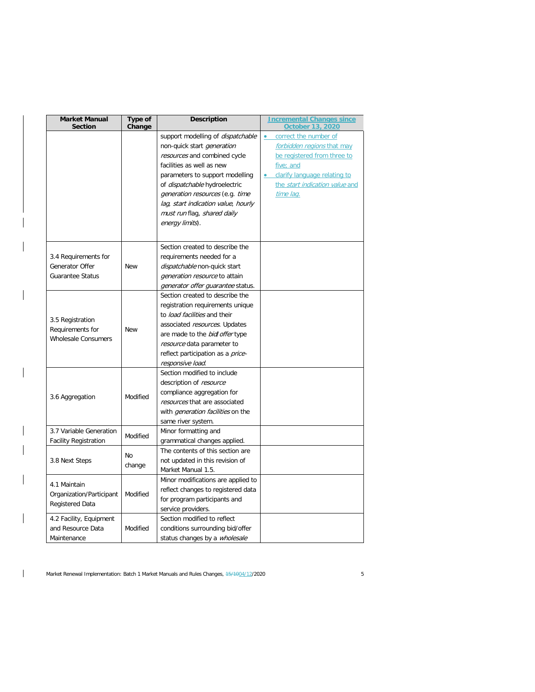| <b>Market Manual</b><br><b>Section</b> | Type of<br>Change | <b>Description</b>                                               | <b>Incremental Changes since</b><br><b>October 13, 2020</b> |
|----------------------------------------|-------------------|------------------------------------------------------------------|-------------------------------------------------------------|
|                                        |                   | support modelling of <i>dispatchable</i>                         | correct the number of<br>$\bullet$                          |
|                                        |                   | non-quick start <i>generation</i>                                | forbidden regions that may                                  |
|                                        |                   | resources and combined cycle                                     | be registered from three to                                 |
|                                        |                   | facilities as well as new                                        | five; and                                                   |
|                                        |                   | parameters to support modelling                                  | clarify language relating to                                |
|                                        |                   | of <i>dispatchable</i> hydroelectric                             | the start indication value and                              |
|                                        |                   | generation resources (e.g. time                                  | time lag.                                                   |
|                                        |                   | lag, start indication value, hourly                              |                                                             |
|                                        |                   | must run flag, shared daily                                      |                                                             |
|                                        |                   | energy limits).                                                  |                                                             |
|                                        |                   |                                                                  |                                                             |
|                                        |                   | Section created to describe the                                  |                                                             |
| 3.4 Requirements for                   |                   | requirements needed for a                                        |                                                             |
| Generator Offer                        | <b>New</b>        | dispatchable non-quick start                                     |                                                             |
| <b>Guarantee Status</b>                |                   | <i>generation resource</i> to attain                             |                                                             |
|                                        |                   | generator offer guarantee status.                                |                                                             |
|                                        |                   | Section created to describe the                                  |                                                             |
|                                        |                   | registration requirements unique<br>to load facilities and their |                                                             |
| 3.5 Registration                       | <b>New</b>        |                                                                  |                                                             |
| Requirements for                       |                   | associated resources. Updates                                    |                                                             |
| <b>Wholesale Consumers</b>             |                   | are made to the bidl offer type<br>resource data parameter to    |                                                             |
|                                        |                   |                                                                  |                                                             |
|                                        |                   | reflect participation as a <i>price-</i><br>responsive load.     |                                                             |
|                                        |                   | Section modified to include                                      |                                                             |
|                                        |                   | description of resource                                          |                                                             |
|                                        |                   | compliance aggregation for                                       |                                                             |
| 3.6 Aggregation                        | Modified          | resources that are associated                                    |                                                             |
|                                        |                   | with <i>generation facilities</i> on the                         |                                                             |
|                                        |                   | same river system.                                               |                                                             |
| 3.7 Variable Generation                |                   | Minor formatting and                                             |                                                             |
| <b>Facility Registration</b>           | Modified          | grammatical changes applied.                                     |                                                             |
|                                        |                   | The contents of this section are                                 |                                                             |
| 3.8 Next Steps                         | No                | not updated in this revision of                                  |                                                             |
|                                        | change            | Market Manual 1.5.                                               |                                                             |
|                                        |                   | Minor modifications are applied to                               |                                                             |
| 4.1 Maintain                           |                   | reflect changes to registered data                               |                                                             |
| Organization/Participant               | Modified          | for program participants and                                     |                                                             |
| Registered Data                        |                   | service providers.                                               |                                                             |
| 4.2 Facility, Equipment                |                   | Section modified to reflect                                      |                                                             |
| and Resource Data                      | Modified          | conditions surrounding bid/offer                                 |                                                             |
| Maintenance                            |                   | status changes by a <i>wholesale</i>                             |                                                             |

 $\overline{\phantom{a}}$ 

 $\overline{\phantom{a}}$ 

 $\mathbf{I}$ 

 $\mathbf{I}$ 

 $\mathsf{I}$ 

Market Renewal Implementation: Batch 1 Market Manuals and Rules Changes, 15/1004/12/2020 5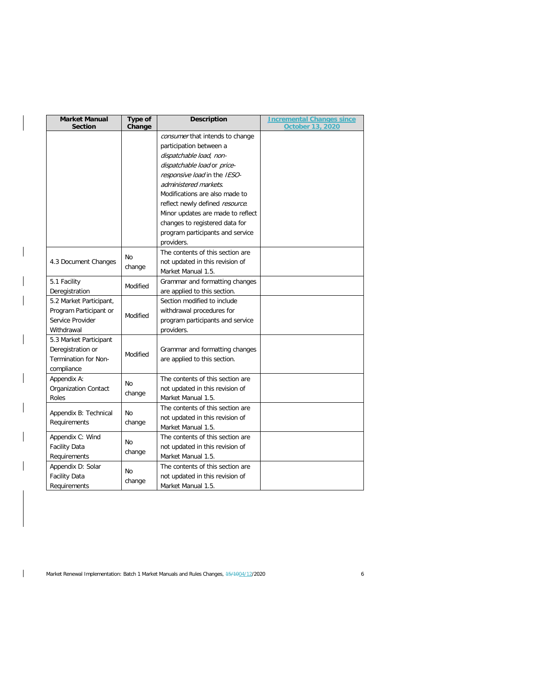| <b>Market Manual</b><br><b>Section</b> | Type of<br>Change | <b>Description</b>                | <b>Incremental Changes since</b><br><b>October 13, 2020</b> |
|----------------------------------------|-------------------|-----------------------------------|-------------------------------------------------------------|
|                                        |                   | consumer that intends to change   |                                                             |
|                                        |                   | participation between a           |                                                             |
|                                        |                   | dispatchable load, non-           |                                                             |
|                                        |                   | dispatchable load or price-       |                                                             |
|                                        |                   | responsive load in the IESO-      |                                                             |
|                                        |                   | administered markets.             |                                                             |
|                                        |                   | Modifications are also made to    |                                                             |
|                                        |                   | reflect newly defined resource.   |                                                             |
|                                        |                   | Minor updates are made to reflect |                                                             |
|                                        |                   | changes to registered data for    |                                                             |
|                                        |                   | program participants and service  |                                                             |
|                                        |                   | providers.                        |                                                             |
|                                        |                   | The contents of this section are  |                                                             |
| 4.3 Document Changes                   | No                | not updated in this revision of   |                                                             |
|                                        | change            | Market Manual 1.5.                |                                                             |
| 5.1 Facility                           | Modified          | Grammar and formatting changes    |                                                             |
| Deregistration                         |                   | are applied to this section.      |                                                             |
| 5.2 Market Participant,                |                   | Section modified to include       |                                                             |
| Program Participant or                 | Modified          | withdrawal procedures for         |                                                             |
| Service Provider                       |                   | program participants and service  |                                                             |
| Withdrawal                             |                   | providers.                        |                                                             |
| 5.3 Market Participant                 |                   |                                   |                                                             |
| Deregistration or                      | Modified          | Grammar and formatting changes    |                                                             |
| Termination for Non-                   |                   | are applied to this section.      |                                                             |
| compliance                             |                   |                                   |                                                             |
| Appendix A:                            | No                | The contents of this section are  |                                                             |
| <b>Organization Contact</b>            |                   | not updated in this revision of   |                                                             |
| Roles                                  | change            | Market Manual 1.5.                |                                                             |
| Appendix B: Technical                  | No                | The contents of this section are  |                                                             |
| Requirements                           | change            | not updated in this revision of   |                                                             |
|                                        |                   | Market Manual 1.5.                |                                                             |
| Appendix C: Wind                       | No                | The contents of this section are  |                                                             |
| <b>Facility Data</b>                   |                   | not updated in this revision of   |                                                             |
| Requirements                           | change            | Market Manual 1.5.                |                                                             |
| Appendix D: Solar                      | No                | The contents of this section are  |                                                             |
| <b>Facility Data</b>                   |                   | not updated in this revision of   |                                                             |
| Requirements                           | change            | Market Manual 1.5.                |                                                             |

 $\overline{\phantom{a}}$ 

 $\overline{\phantom{a}}$ 

 $\mathbf{I}$ 

Market Renewal Implementation: Batch 1 Market Manuals and Rules Changes,  $\frac{15}{1004}/\frac{2}{2020}$  6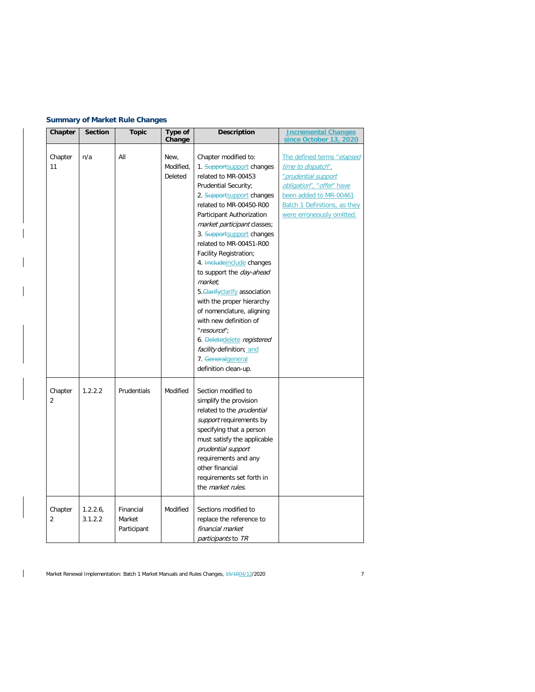# **Summary of Market Rule Changes**

| Chapter                   | <b>Section</b>     | <b>Topic</b>                       | Type of<br>Change            | <b>Description</b>                                                                                                                                                                                                                                                                                                                                                                                                                                                                                                                                                                                                           | <b>Incremental Changes</b><br>since October 13, 2020                                                                                                                                               |
|---------------------------|--------------------|------------------------------------|------------------------------|------------------------------------------------------------------------------------------------------------------------------------------------------------------------------------------------------------------------------------------------------------------------------------------------------------------------------------------------------------------------------------------------------------------------------------------------------------------------------------------------------------------------------------------------------------------------------------------------------------------------------|----------------------------------------------------------------------------------------------------------------------------------------------------------------------------------------------------|
| Chapter<br>11             | n/a                | All                                | New,<br>Modified.<br>Deleted | Chapter modified to:<br>1. Supportsupport changes<br>related to MR-00453<br>Prudential Security;<br>2. Supportsupport changes<br>related to MR-00450-R00<br>Participant Authorization<br>market participant classes;<br>3. Supportsupport changes<br>related to MR-00451-R00<br>Facility Registration;<br>4. Heludeinclude changes<br>to support the <i>day-ahead</i><br>market.<br>5. Clarify clarify association<br>with the proper hierarchy<br>of nomenclature, aligning<br>with new definition of<br>"resource";<br>6. Deletedelete registered<br>facility definition; and<br>7. Generalgeneral<br>definition clean-up. | The defined terms "elapsed<br>time to dispatch".<br>"prudential support<br>obligation", "offer" have<br>been added to MR-00461<br><b>Batch 1 Definitions, as they</b><br>were erroneously omitted. |
| Chapter<br>$\overline{2}$ | 1.2.2.2            | <b>Prudentials</b>                 | Modified                     | Section modified to<br>simplify the provision<br>related to the prudential<br>support requirements by<br>specifying that a person<br>must satisfy the applicable<br>prudential support<br>requirements and any<br>other financial<br>requirements set forth in<br>the <i>market rules</i> .                                                                                                                                                                                                                                                                                                                                  |                                                                                                                                                                                                    |
| Chapter<br>$\overline{2}$ | 1.2.2.6<br>3.1.2.2 | Financial<br>Market<br>Participant | Modified                     | Sections modified to<br>replace the reference to<br>financial market<br>participants to TR                                                                                                                                                                                                                                                                                                                                                                                                                                                                                                                                   |                                                                                                                                                                                                    |

 $\mathbf{I}$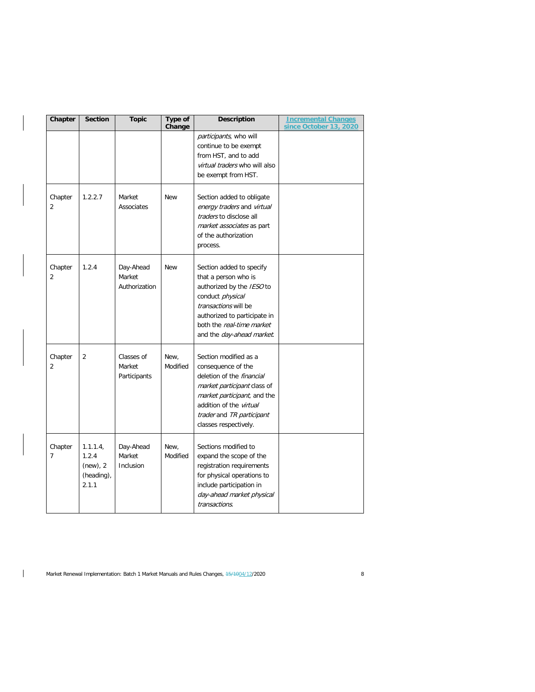| Chapter                   | <b>Section</b>                                      | <b>Topic</b>                         | Type of<br>Change | <b>Description</b>                                                                                                                                                                                                             | <b>Incremental Changes</b><br>since October 13, 2020 |
|---------------------------|-----------------------------------------------------|--------------------------------------|-------------------|--------------------------------------------------------------------------------------------------------------------------------------------------------------------------------------------------------------------------------|------------------------------------------------------|
|                           |                                                     |                                      |                   | participants, who will<br>continue to be exempt<br>from HST, and to add<br>virtual traders who will also<br>be exempt from HST.                                                                                                |                                                      |
| Chapter<br>$\overline{2}$ | 1.2.2.7                                             | Market<br>Associates                 | <b>New</b>        | Section added to obligate<br>energy traders and virtual<br>traders to disclose all<br>market associates as part<br>of the authorization<br>process.                                                                            |                                                      |
| Chapter<br>$\overline{2}$ | 1.2.4                                               | Day-Ahead<br>Market<br>Authorization | <b>New</b>        | Section added to specify<br>that a person who is<br>authorized by the IESO to<br>conduct physical<br>transactions will be<br>authorized to participate in<br>both the real-time market<br>and the day-ahead market.            |                                                      |
| Chapter<br>$\overline{2}$ | $\overline{2}$                                      | Classes of<br>Market<br>Participants | New,<br>Modified  | Section modified as a<br>consequence of the<br>deletion of the <i>financial</i><br>market participant class of<br>market participant, and the<br>addition of the virtual<br>trader and TR participant<br>classes respectively. |                                                      |
| Chapter<br>$\overline{7}$ | 1.1.1.4<br>1.2.4<br>(new), 2<br>(heading),<br>2.1.1 | Day-Ahead<br>Market<br>Inclusion     | New.<br>Modified  | Sections modified to<br>expand the scope of the<br>registration requirements<br>for physical operations to<br>include participation in<br>day-ahead market physical<br>transactions.                                           |                                                      |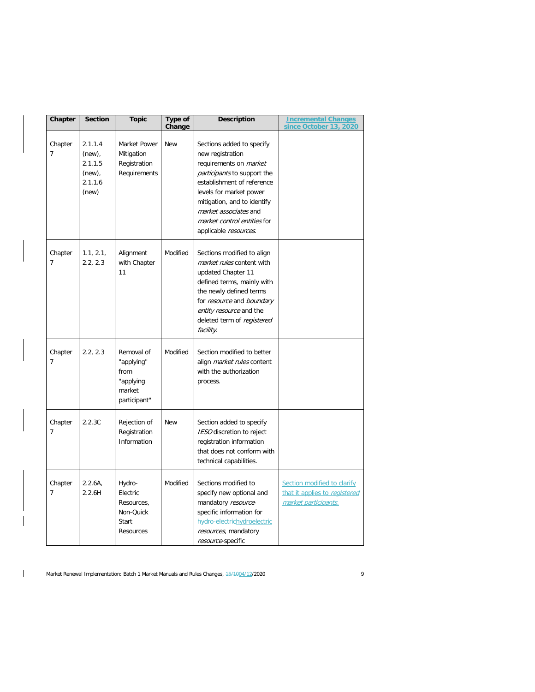| Chapter                   | <b>Section</b>                                                   | <b>Topic</b>                                                            | Type of<br>Change | <b>Description</b>                                                                                                                                                                                                                                                                     | <b>Incremental Changes</b><br>since October 13, 2020                                 |
|---------------------------|------------------------------------------------------------------|-------------------------------------------------------------------------|-------------------|----------------------------------------------------------------------------------------------------------------------------------------------------------------------------------------------------------------------------------------------------------------------------------------|--------------------------------------------------------------------------------------|
| Chapter<br>$\overline{7}$ | 2.1.1.4<br>$(new)$ ,<br>2.1.1.5<br>$(new)$ ,<br>2.1.1.6<br>(new) | Market Power<br>Mitigation<br>Registration<br>Requirements              | <b>New</b>        | Sections added to specify<br>new registration<br>requirements on <i>market</i><br>participants to support the<br>establishment of reference<br>levels for market power<br>mitigation, and to identify<br>market associates and<br>market control entities for<br>applicable resources. |                                                                                      |
| Chapter<br>$\overline{7}$ | 1.1, 2.1,<br>2.2, 2.3                                            | Alignment<br>with Chapter<br>11                                         | Modified          | Sections modified to align<br>market rules content with<br>updated Chapter 11<br>defined terms, mainly with<br>the newly defined terms<br>for resource and boundary<br>entity resource and the<br>deleted term of registered<br>facility.                                              |                                                                                      |
| Chapter<br>$\overline{7}$ | 2.2, 2.3                                                         | Removal of<br>"applying"<br>from<br>"applying<br>market<br>participant" | Modified          | Section modified to better<br>align <i>market rules</i> content<br>with the authorization<br>process.                                                                                                                                                                                  |                                                                                      |
| Chapter<br>$\overline{7}$ | 2.2.3C                                                           | Rejection of<br>Registration<br>Information                             | <b>New</b>        | Section added to specify<br>IESO discretion to reject<br>registration information<br>that does not conform with<br>technical capabilities.                                                                                                                                             |                                                                                      |
| Chapter<br>$\overline{7}$ | 2.2.6A,<br>2.2.6H                                                | Hydro-<br>Electric<br>Resources,<br>Non-Quick<br>Start<br>Resources     | Modified          | Sections modified to<br>specify new optional and<br>mandatory resource-<br>specific information for<br>hydro-electrichydroelectric<br>resources, mandatory<br>resource-specific                                                                                                        | Section modified to clarify<br>that it applies to registered<br>market participants. |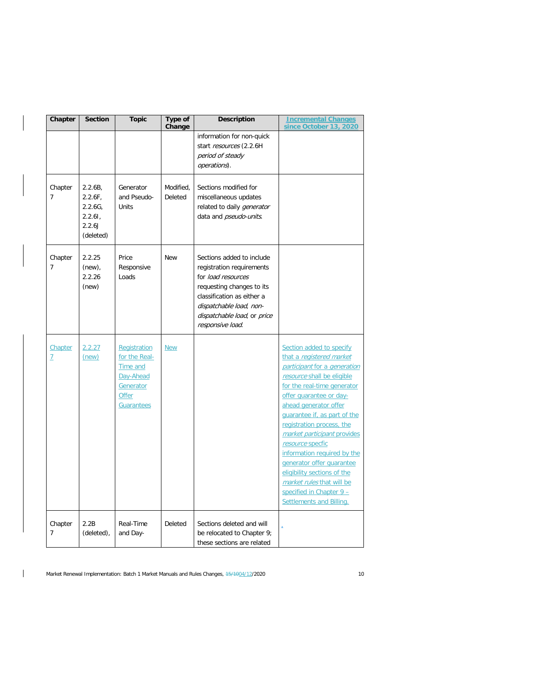| Chapter                   | <b>Section</b>                                                   | <b>Topic</b>                                                                                      | Type of<br>Change    | <b>Description</b>                                                                                                                                                                                                    | <b>Incremental Changes</b><br>since October 13, 2020                                                                                                                                                                                                                                                                                                                                                                                                                                                  |
|---------------------------|------------------------------------------------------------------|---------------------------------------------------------------------------------------------------|----------------------|-----------------------------------------------------------------------------------------------------------------------------------------------------------------------------------------------------------------------|-------------------------------------------------------------------------------------------------------------------------------------------------------------------------------------------------------------------------------------------------------------------------------------------------------------------------------------------------------------------------------------------------------------------------------------------------------------------------------------------------------|
|                           |                                                                  |                                                                                                   |                      | information for non-quick<br>start resources (2.2.6H<br>period of steady<br>operations).                                                                                                                              |                                                                                                                                                                                                                                                                                                                                                                                                                                                                                                       |
| Chapter<br>$\overline{7}$ | 2.2.6B<br>$2.2.6F$ ,<br>2.2.6G<br>2.2.61,<br>2.2.6J<br>(deleted) | Generator<br>and Pseudo-<br>Units                                                                 | Modified.<br>Deleted | Sections modified for<br>miscellaneous updates<br>related to daily <i>generator</i><br>data and pseudo-units.                                                                                                         |                                                                                                                                                                                                                                                                                                                                                                                                                                                                                                       |
| Chapter<br>$\overline{7}$ | 2.2.25<br>$(new)$ ,<br>2.2.26<br>(new)                           | Price<br>Responsive<br>Loads                                                                      | <b>New</b>           | Sections added to include<br>registration requirements<br>for load resources<br>requesting changes to its<br>classification as either a<br>dispatchable load, non-<br>dispatchable load, or price<br>responsive load. |                                                                                                                                                                                                                                                                                                                                                                                                                                                                                                       |
| Chapter<br>Z              | 2.2.27<br>(new)                                                  | Registration<br>for the Real-<br><b>Time and</b><br>Day-Ahead<br>Generator<br>Offer<br>Guarantees | <b>New</b>           |                                                                                                                                                                                                                       | Section added to specify<br>that a registered market<br>participant for a generation<br>resource shall be eligible<br>for the real-time generator<br>offer quarantee or day-<br>ahead generator offer<br>quarantee if, as part of the<br>registration process, the<br>market participant provides<br>resource specfic<br>information required by the<br>generator offer quarantee<br>eligibility sections of the<br>market rules that will be<br>specified in Chapter 9 -<br>Settlements and Billing. |
| Chapter<br>$\overline{7}$ | 2.2B<br>(deleted),                                               | Real-Time<br>and Day-                                                                             | Deleted              | Sections deleted and will<br>be relocated to Chapter 9;<br>these sections are related                                                                                                                                 |                                                                                                                                                                                                                                                                                                                                                                                                                                                                                                       |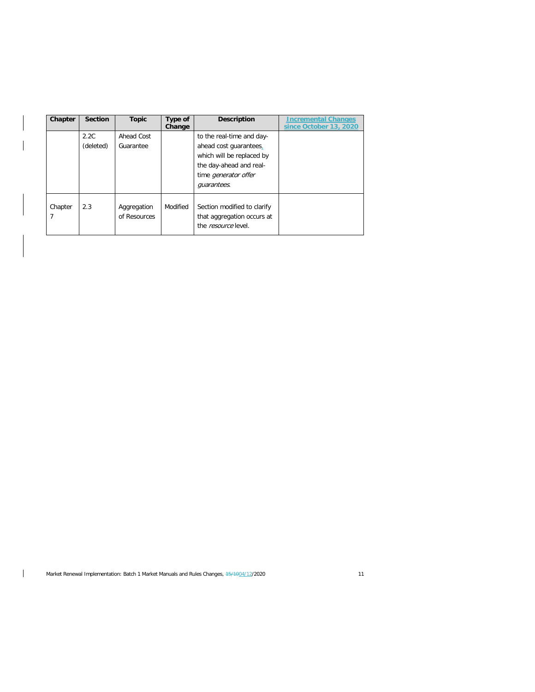| Chapter                   | <b>Section</b>    | <b>Topic</b>                | Type of<br>Change | <b>Description</b>                                                                                                                                        | Incremental Changes<br>since October 13, 2020 |
|---------------------------|-------------------|-----------------------------|-------------------|-----------------------------------------------------------------------------------------------------------------------------------------------------------|-----------------------------------------------|
|                           | 2.2C<br>(deleted) | Ahead Cost<br>Guarantee     |                   | to the real-time and day-<br>ahead cost guarantees.<br>which will be replaced by<br>the day-ahead and real-<br>time <i>generator</i> offer<br>quarantees. |                                               |
| Chapter<br>$\overline{7}$ | 2.3               | Aggregation<br>of Resources | Modified          | Section modified to clarify<br>that aggregation occurs at<br>the <i>resource</i> level.                                                                   |                                               |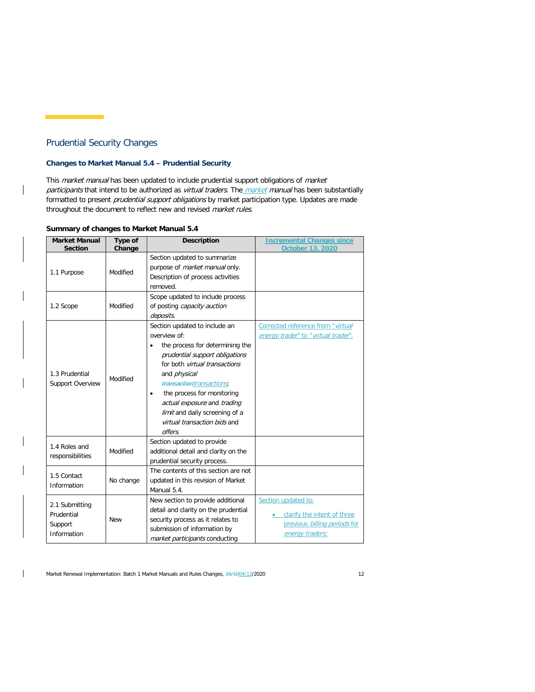# Prudential Security Changes

# **Changes to Market Manual 5.4 – Prudential Security**

This market manual has been updated to include prudential support obligations of market participants that intend to be authorized as virtual traders. The market manual has been substantially formatted to present prudential support obligations by market participation type. Updates are made throughout the document to reflect new and revised market rules.

#### **Summary of changes to Market Manual 5.4**

| <b>Market Manual</b> | Type of    | <b>Description</b>                      | <b>Incremental Changes since</b>    |
|----------------------|------------|-----------------------------------------|-------------------------------------|
| <b>Section</b>       | Change     |                                         | October 13, 2020                    |
|                      |            | Section updated to summarize            |                                     |
| 1.1 Purpose          | Modified   | purpose of <i>market manual</i> only.   |                                     |
|                      |            | Description of process activities       |                                     |
|                      |            | removed.                                |                                     |
|                      |            | Scope updated to include process        |                                     |
| 1.2 Scope            | Modified   | of posting capacity auction             |                                     |
|                      |            | deposits.                               |                                     |
|                      |            | Section updated to include an           | Corrected reference from "virtual   |
|                      |            | overview of:                            | energy trader" to "virtual trader". |
|                      |            | the process for determining the         |                                     |
|                      |            | prudential support obligations          |                                     |
|                      |            | for both <i>virtual transactions</i>    |                                     |
| 1.3 Prudential       | Modified   | and <i>physical</i>                     |                                     |
| Support Overview     |            | transactiontransactions;                |                                     |
|                      |            | the process for monitoring<br>$\bullet$ |                                     |
|                      |            | actual exposure and trading             |                                     |
|                      |            | limit and daily screening of a          |                                     |
|                      |            | virtual transaction bids and            |                                     |
|                      |            | offers.                                 |                                     |
|                      |            | Section updated to provide              |                                     |
| 1.4 Roles and        | Modified   | additional detail and clarity on the    |                                     |
| responsibilities     |            | prudential security process.            |                                     |
|                      |            | The contents of this section are not    |                                     |
| 1.5 Contact          | No change  | updated in this revision of Market      |                                     |
| Information          |            | Manual 5.4.                             |                                     |
|                      |            | New section to provide additional       | Section updated to:                 |
| 2.1 Submitting       |            | detail and clarity on the prudential    |                                     |
| Prudential           | <b>New</b> | security process as it relates to       | clarify the intent of three         |
| Support              |            | submission of information by            | previous billing periods for        |
| Information          |            | market participants conducting          | energy traders;                     |

Market Renewal Implementation: Batch 1 Market Manuals and Rules Changes,  $45/1004/12/2020$  12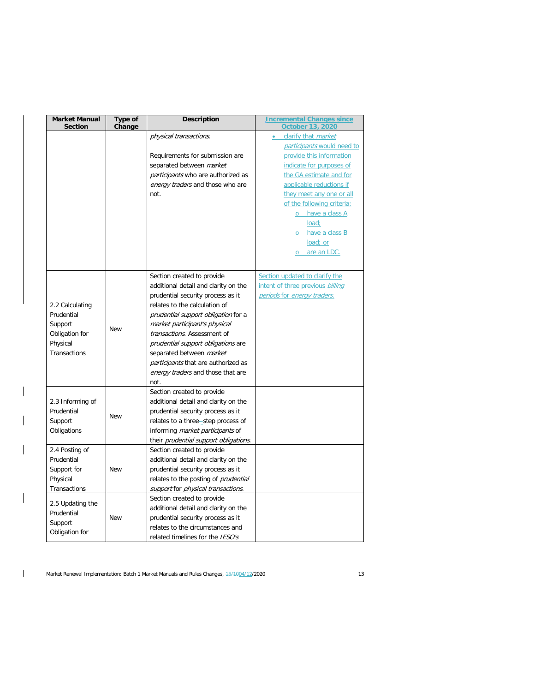| <b>Market Manual</b><br><b>Section</b> | Type of<br>Change | <b>Description</b>                          | <b>Incremental Changes since</b><br><b>October 13, 2020</b> |  |
|----------------------------------------|-------------------|---------------------------------------------|-------------------------------------------------------------|--|
|                                        |                   | physical transactions.                      | clarify that market<br>$\bullet$                            |  |
|                                        |                   |                                             | participants would need to                                  |  |
|                                        |                   | Requirements for submission are             | provide this information                                    |  |
|                                        |                   | separated between market                    | indicate for purposes of                                    |  |
|                                        |                   | participants who are authorized as          | the GA estimate and for                                     |  |
|                                        |                   | energy traders and those who are            | applicable reductions if                                    |  |
|                                        |                   | not.                                        | they meet any one or all                                    |  |
|                                        |                   |                                             | of the following criteria:                                  |  |
|                                        |                   |                                             | o have a class A                                            |  |
|                                        |                   |                                             | load;                                                       |  |
|                                        |                   |                                             | o have a class B                                            |  |
|                                        |                   |                                             | load; or                                                    |  |
|                                        |                   |                                             | are an LDC.<br>$\circ$                                      |  |
|                                        |                   |                                             |                                                             |  |
|                                        |                   | Section created to provide                  | Section updated to clarify the                              |  |
|                                        |                   | additional detail and clarity on the        | intent of three previous billing                            |  |
|                                        |                   | prudential security process as it           | periods for energy traders.                                 |  |
| 2.2 Calculating                        |                   | relates to the calculation of               |                                                             |  |
| Prudential                             |                   | prudential support obligation for a         |                                                             |  |
| Support                                |                   | market participant's physical               |                                                             |  |
| Obligation for                         | <b>New</b>        | transactions. Assessment of                 |                                                             |  |
| Physical                               |                   | prudential support obligations are          |                                                             |  |
| <b>Transactions</b>                    |                   | separated between market                    |                                                             |  |
|                                        |                   | participants that are authorized as         |                                                             |  |
|                                        |                   | energy traders and those that are           |                                                             |  |
|                                        |                   | not.                                        |                                                             |  |
|                                        |                   | Section created to provide                  |                                                             |  |
| 2.3 Informing of                       |                   | additional detail and clarity on the        |                                                             |  |
| Prudential                             |                   | prudential security process as it           |                                                             |  |
| Support                                | <b>New</b>        | relates to a three-step process of          |                                                             |  |
| Obligations                            |                   | informing <i>market participants</i> of     |                                                             |  |
|                                        |                   | their prudential support obligations.       |                                                             |  |
| 2.4 Posting of                         |                   | Section created to provide                  |                                                             |  |
| Prudential                             |                   | additional detail and clarity on the        |                                                             |  |
| Support for                            | <b>New</b>        | prudential security process as it           |                                                             |  |
| Physical                               |                   | relates to the posting of <i>prudential</i> |                                                             |  |
| <b>Transactions</b>                    |                   | support for physical transactions.          |                                                             |  |
|                                        |                   | Section created to provide                  |                                                             |  |
| 2.5 Updating the                       |                   | additional detail and clarity on the        |                                                             |  |
| Prudential                             | <b>New</b>        | prudential security process as it           |                                                             |  |
| Support                                |                   | relates to the circumstances and            |                                                             |  |
| Obligation for                         |                   | related timelines for the IESO's            |                                                             |  |

 $\mathbf{I}$ 

 $\mathbf{I}$ 

 $\overline{\phantom{a}}$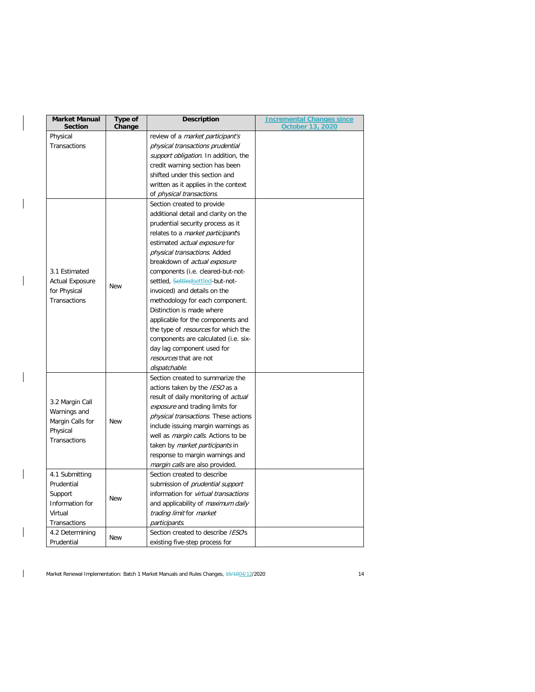| <b>Market Manual</b><br>Type of<br>Change<br><b>Section</b> | <b>Description</b>                          | <b>Incremental Changes since</b><br><b>October 13, 2020</b> |
|-------------------------------------------------------------|---------------------------------------------|-------------------------------------------------------------|
| Physical                                                    | review of a market participant's            |                                                             |
| Transactions                                                | physical transactions prudential            |                                                             |
|                                                             | support obligation. In addition, the        |                                                             |
|                                                             | credit warning section has been             |                                                             |
|                                                             | shifted under this section and              |                                                             |
|                                                             | written as it applies in the context        |                                                             |
|                                                             | of physical transactions.                   |                                                             |
|                                                             | Section created to provide                  |                                                             |
|                                                             | additional detail and clarity on the        |                                                             |
|                                                             | prudential security process as it           |                                                             |
|                                                             | relates to a <i>market participant's</i>    |                                                             |
|                                                             | estimated actual exposure for               |                                                             |
|                                                             | physical transactions. Added                |                                                             |
|                                                             | breakdown of <i>actual exposure</i>         |                                                             |
| 3.1 Estimated                                               | components (i.e. cleared-but-not-           |                                                             |
| <b>Actual Exposure</b>                                      | settled, Settledsettled-but-not-            |                                                             |
| <b>New</b><br>for Physical                                  | invoiced) and details on the                |                                                             |
| Transactions                                                | methodology for each component.             |                                                             |
|                                                             | Distinction is made where                   |                                                             |
|                                                             | applicable for the components and           |                                                             |
|                                                             | the type of <i>resources</i> for which the  |                                                             |
|                                                             | components are calculated (i.e. six-        |                                                             |
|                                                             | day lag component used for                  |                                                             |
|                                                             | resources that are not                      |                                                             |
|                                                             | dispatchable.                               |                                                             |
|                                                             | Section created to summarize the            |                                                             |
|                                                             | actions taken by the IESO as a              |                                                             |
|                                                             | result of daily monitoring of <i>actual</i> |                                                             |
| 3.2 Margin Call                                             | exposure and trading limits for             |                                                             |
| Warnings and                                                | physical transactions. These actions        |                                                             |
| Margin Calls for<br><b>New</b>                              | include issuing margin warnings as          |                                                             |
| Physical                                                    | well as <i>margin calls</i> . Actions to be |                                                             |
| Transactions                                                | taken by <i>market participants</i> in      |                                                             |
|                                                             | response to margin warnings and             |                                                             |
|                                                             | <i>margin calls</i> are also provided.      |                                                             |
| 4.1 Submitting                                              | Section created to describe                 |                                                             |
| Prudential                                                  | submission of <i>prudential support</i>     |                                                             |
| Support                                                     | information for virtual transactions        |                                                             |
| <b>New</b><br>Information for                               | and applicability of maximum daily          |                                                             |
| Virtual                                                     | trading limit for market                    |                                                             |
| Transactions                                                | participants.                               |                                                             |
| 4.2 Determining                                             | Section created to describe IESOs           |                                                             |
| <b>New</b><br>Prudential                                    | existing five-step process for              |                                                             |

 $\overline{\phantom{a}}$ 

 $\mathbf{I}$ 

 $\overline{\phantom{a}}$ 

 $\mathbf{I}$ 

 $\mathbf{I}$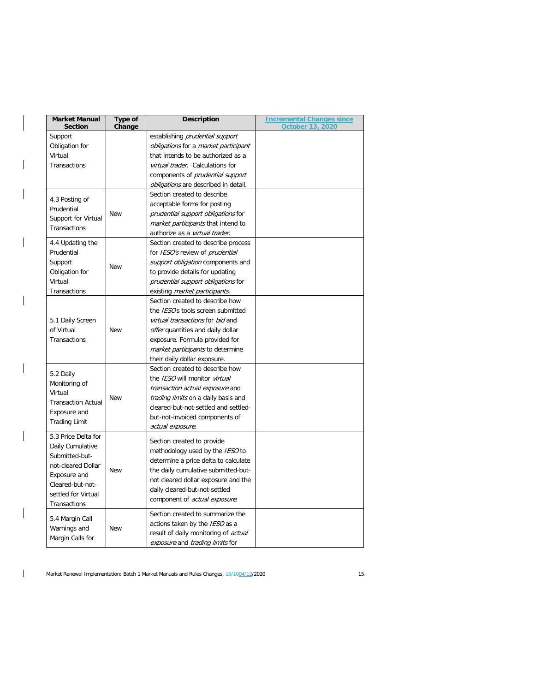| <b>Market Manual</b><br><b>Section</b>                                                                                                                     | Type of<br>Change | <b>Description</b>                                                                                                                                                                                                                                          | <b>Incremental Changes since</b><br><b>October 13, 2020</b> |
|------------------------------------------------------------------------------------------------------------------------------------------------------------|-------------------|-------------------------------------------------------------------------------------------------------------------------------------------------------------------------------------------------------------------------------------------------------------|-------------------------------------------------------------|
| Support<br>Obligation for<br>Virtual<br>Transactions                                                                                                       |                   | establishing prudential support<br>obligations for a market participant<br>that intends to be authorized as a<br>virtual trader. - Calculations for<br>components of <i>prudential support</i><br>obligations are described in detail.                      |                                                             |
| 4.3 Posting of<br>Prudential<br>Support for Virtual<br>Transactions                                                                                        | <b>New</b>        | Section created to describe<br>acceptable forms for posting<br>prudential support obligations for<br>market participants that intend to<br>authorize as a virtual trader.                                                                                   |                                                             |
| 4.4 Updating the<br>Prudential<br>Support<br>Obligation for<br>Virtual<br>Transactions                                                                     | <b>New</b>        | Section created to describe process<br>for IESO's review of prudential<br>support obligation components and<br>to provide details for updating<br>prudential support obligations for<br>existing market participants.                                       |                                                             |
| 5.1 Daily Screen<br>of Virtual<br>Transactions                                                                                                             | <b>New</b>        | Section created to describe how<br>the <i>IESO</i> 's tools screen submitted<br>virtual transactions for bid and<br>offer quantities and daily dollar<br>exposure. Formula provided for<br>market participants to determine<br>their daily dollar exposure. |                                                             |
| 5.2 Daily<br>Monitoring of<br>Virtual<br><b>Transaction Actual</b><br>Exposure and<br><b>Trading Limit</b>                                                 | <b>New</b>        | Section created to describe how<br>the <i>IESO</i> will monitor <i>virtual</i><br>transaction actual exposure and<br>trading limits on a daily basis and<br>cleared-but-not-settled and settled-<br>but-not-invoiced components of<br>actual exposure.      |                                                             |
| 5.3 Price Delta for<br>Daily Cumulative<br>Submitted-but-<br>not-cleared Dollar<br>Exposure and<br>Cleared-but-not-<br>settled for Virtual<br>Transactions | <b>New</b>        | Section created to provide<br>methodology used by the IESO to<br>determine a price delta to calculate<br>the daily cumulative submitted-but-<br>not cleared dollar exposure and the<br>daily cleared-but-not-settled<br>component of actual exposure.       |                                                             |
| 5.4 Margin Call<br>Warnings and<br>Margin Calls for                                                                                                        | <b>New</b>        | Section created to summarize the<br>actions taken by the IESO as a<br>result of daily monitoring of actual<br>exposure and trading limits for                                                                                                               |                                                             |

 $\mathbf{I}$ 

 $\overline{\phantom{a}}$ 

 $\mathbf{I}$ 

 $\mathbf{I}$ 

 $\mathbf{I}$ 

 $\mathbf{I}$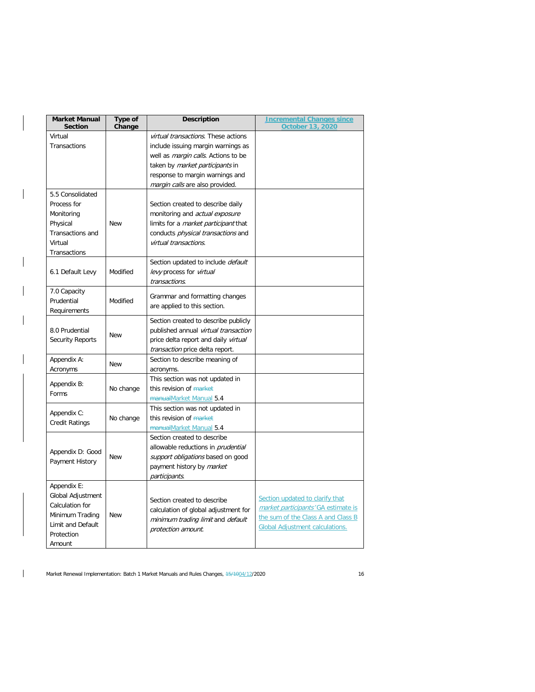| <b>Market Manual</b><br><b>Section</b> | Type of<br>Change | <b>Description</b>                                                           | <b>Incremental Changes since</b><br><b>October 13, 2020</b> |  |  |
|----------------------------------------|-------------------|------------------------------------------------------------------------------|-------------------------------------------------------------|--|--|
| Virtual                                |                   | virtual transactions. These actions                                          |                                                             |  |  |
| Transactions                           |                   | include issuing margin warnings as                                           |                                                             |  |  |
|                                        |                   | well as <i>margin calls</i> . Actions to be                                  |                                                             |  |  |
|                                        |                   | taken by <i>market participants</i> in                                       |                                                             |  |  |
|                                        |                   | response to margin warnings and                                              |                                                             |  |  |
|                                        |                   | margin calls are also provided.                                              |                                                             |  |  |
| 5.5 Consolidated                       |                   |                                                                              |                                                             |  |  |
| Process for                            |                   | Section created to describe daily                                            |                                                             |  |  |
| Monitoring                             |                   | monitoring and <i>actual exposure</i>                                        |                                                             |  |  |
| Physical                               | <b>New</b>        | limits for a <i>market participant</i> that                                  |                                                             |  |  |
| Transactions and                       |                   | conducts <i>physical transactions</i> and                                    |                                                             |  |  |
| Virtual                                |                   | virtual transactions.                                                        |                                                             |  |  |
| Transactions                           |                   |                                                                              |                                                             |  |  |
|                                        |                   | Section updated to include default                                           |                                                             |  |  |
| 6.1 Default Levy                       | Modified          | levy process for virtual                                                     |                                                             |  |  |
|                                        |                   | transactions.                                                                |                                                             |  |  |
| 7.0 Capacity                           |                   |                                                                              |                                                             |  |  |
| Prudential                             | Modified          | Grammar and formatting changes                                               |                                                             |  |  |
| Requirements                           |                   | are applied to this section.                                                 |                                                             |  |  |
|                                        |                   |                                                                              |                                                             |  |  |
|                                        | <b>New</b>        | Section created to describe publicly<br>published annual virtual transaction |                                                             |  |  |
| 8.0 Prudential                         |                   |                                                                              |                                                             |  |  |
| <b>Security Reports</b>                |                   | price delta report and daily virtual                                         |                                                             |  |  |
|                                        |                   | transaction price delta report.                                              |                                                             |  |  |
| Appendix A:                            | <b>New</b>        | Section to describe meaning of                                               |                                                             |  |  |
| Acronyms                               |                   | acronyms.                                                                    |                                                             |  |  |
| Appendix B:                            |                   | This section was not updated in                                              |                                                             |  |  |
| Forms                                  | No change         | this revision of market                                                      |                                                             |  |  |
|                                        |                   | manualMarket Manual 5.4                                                      |                                                             |  |  |
| Appendix C:                            |                   | This section was not updated in                                              |                                                             |  |  |
| <b>Credit Ratings</b>                  | No change         | this revision of market                                                      |                                                             |  |  |
|                                        |                   | manualMarket Manual 5.4                                                      |                                                             |  |  |
|                                        |                   | Section created to describe                                                  |                                                             |  |  |
| Appendix D: Good                       |                   | allowable reductions in <i>prudential</i>                                    |                                                             |  |  |
| Payment History                        | <b>New</b>        | support obligations based on good                                            |                                                             |  |  |
|                                        |                   | payment history by market                                                    |                                                             |  |  |
|                                        |                   | participants.                                                                |                                                             |  |  |
| Appendix E:                            |                   |                                                                              |                                                             |  |  |
| Global Adjustment                      |                   | Section created to describe                                                  | Section updated to clarify that                             |  |  |
| Calculation for                        |                   | calculation of global adjustment for                                         | market participants' GA estimate is                         |  |  |
| Minimum Trading                        | <b>New</b>        | minimum trading limit and default                                            | the sum of the Class A and Class B                          |  |  |
| Limit and Default                      |                   | protection amount.                                                           | <b>Global Adjustment calculations.</b>                      |  |  |
| Protection                             |                   |                                                                              |                                                             |  |  |
| Amount                                 |                   |                                                                              |                                                             |  |  |

 $\mathbf{I}$ 

 $\mathbf{I}$ 

 $\overline{\phantom{a}}$ 

Market Renewal Implementation: Batch 1 Market Manuals and Rules Changes,  $\frac{15}{1004}/\frac{2}{2020}$  16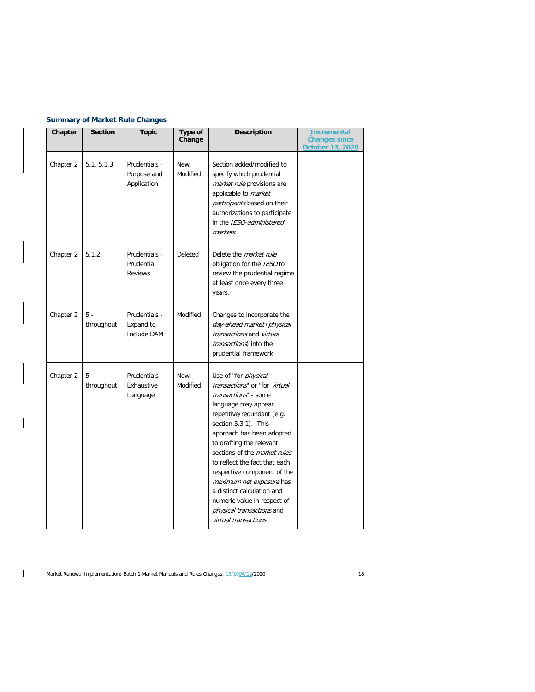# **Summary of Market Rule Changes**

 $\overline{\phantom{a}}$ 

 $\mathbf{I}$ 

| Chapter   | <b>Section</b>      | <b>Topic</b>                                  | Type of<br>Change | <b>Description</b>                                                                                                                                                                                                                                                                                                                                                                                                                                                                 | <u>Incremental</u><br><b>Changes since</b><br>October 13, 2020 |
|-----------|---------------------|-----------------------------------------------|-------------------|------------------------------------------------------------------------------------------------------------------------------------------------------------------------------------------------------------------------------------------------------------------------------------------------------------------------------------------------------------------------------------------------------------------------------------------------------------------------------------|----------------------------------------------------------------|
| Chapter 2 | 5.1, 5.1.3          | Prudentials -<br>Purpose and<br>Application   | New,<br>Modified  | Section added/modified to<br>specify which prudential<br>market rule provisions are<br>applicable to <i>market</i><br>participants based on their<br>authorizations to participate<br>in the IESO-administered<br>markets.                                                                                                                                                                                                                                                         |                                                                |
| Chapter 2 | 5.1.2               | Prudentials -<br>Prudential<br><b>Reviews</b> | Deleted           | Delete the <i>market rule</i><br>obligation for the IESO to<br>review the prudential regime<br>at least once every three<br>years.                                                                                                                                                                                                                                                                                                                                                 |                                                                |
| Chapter 2 | $5 -$<br>throughout | Prudentials -<br>Expand to<br>Include DAM     | Modified          | Changes to incorporate the<br>day-ahead market (physical<br>transactions and virtual<br><i>transactions</i> ) into the<br>prudential framework                                                                                                                                                                                                                                                                                                                                     |                                                                |
| Chapter 2 | $5 -$<br>throughout | Prudentials -<br>Exhaustive<br>Language       | New,<br>Modified  | Use of "for <i>physical</i><br>transactions" or "for virtual<br>transactions" - some<br>language may appear<br>repetitive/redundant (e.g.<br>section 5.3.1). - This<br>approach has been adopted<br>to drafting the relevant<br>sections of the <i>market rules</i><br>to reflect the fact that each<br>respective component of the<br>maximum net exposure has<br>a distinct calculation and<br>numeric value in respect of<br>physical transactions and<br>virtual transactions. |                                                                |

Market Renewal Implementation: Batch 1 Market Manuals and Rules Changes,  $\frac{15}{1004}/\frac{2}{2020}$  18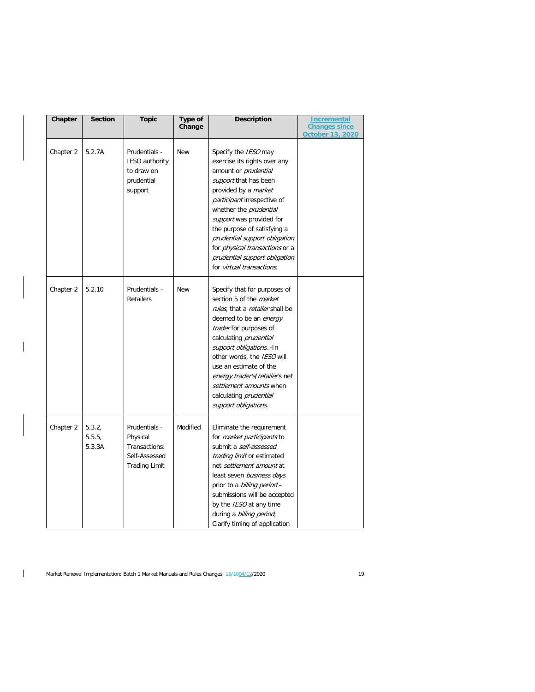| Chapter   | <b>Section</b>             | <b>Topic</b>                                                                        | Type of<br>Change | <b>Description</b>                                                                                                                                                                                                                                                                                                                                                                                                    | <b>Incremental</b><br><b>Changes since</b> |
|-----------|----------------------------|-------------------------------------------------------------------------------------|-------------------|-----------------------------------------------------------------------------------------------------------------------------------------------------------------------------------------------------------------------------------------------------------------------------------------------------------------------------------------------------------------------------------------------------------------------|--------------------------------------------|
|           |                            |                                                                                     |                   |                                                                                                                                                                                                                                                                                                                                                                                                                       | <b>October 13, 2020</b>                    |
| Chapter 2 | 5.2.7A                     | Prudentials -<br><b>IESO</b> authority<br>to draw on<br>prudential<br>support       | <b>New</b>        | Specify the <i>IESO</i> may<br>exercise its rights over any<br>amount or <i>prudential</i><br>support that has been<br>provided by a <i>market</i><br>participant irrespective of<br>whether the <i>prudential</i><br>support was provided for<br>the purpose of satisfying a<br>prudential support obligation<br>for <i>physical transactions</i> or a<br>prudential support obligation<br>for virtual transactions. |                                            |
| Chapter 2 | 5.2.10                     | Prudentials-<br><b>Retailers</b>                                                    | <b>New</b>        | Specify that for purposes of<br>section 5 of the <i>market</i><br>rules, that a retailer shall be<br>deemed to be an energy<br>trader for purposes of<br>calculating <i>prudential</i><br>support obligations. - In<br>other words, the IESO will<br>use an estimate of the<br>energy trader's/retailer's net<br>settlement amounts when<br>calculating <i>prudential</i><br>support obligations.                     |                                            |
| Chapter 2 | 5.3.2,<br>5.5.5.<br>5.3.3A | Prudentials -<br>Physical<br>Transactions:<br>Self-Assessed<br><b>Trading Limit</b> | Modified          | Eliminate the requirement<br>for <i>market participants</i> to<br>submit a self-assessed<br>trading limit or estimated<br>net settlement amount at<br>least seven business days<br>prior to a <i>billing period</i> -<br>submissions will be accepted<br>by the <i>IESO</i> at any time<br>during a <i>billing period</i> ;<br>Clarify timing of application                                                          |                                            |

 $\mathbf{I}$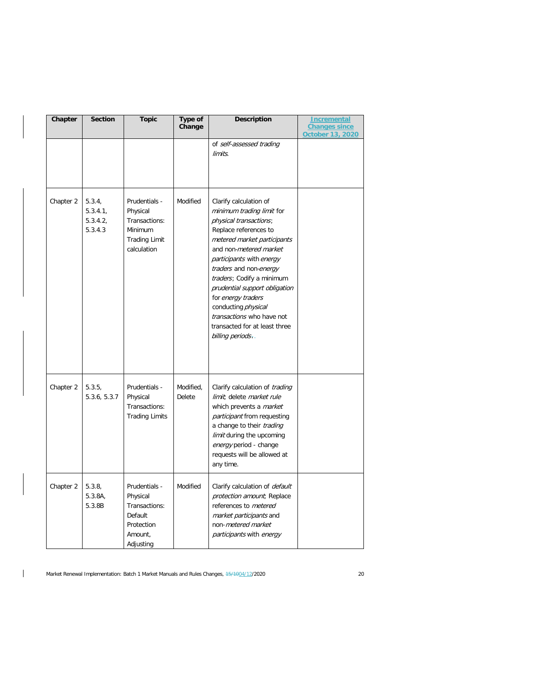| Chapter   | <b>Section</b>                          | <b>Topic</b>                                                                                 | Type of<br>Change   | <b>Description</b>                                                                                                                                                                                                                                                                                                                                                                                                        | <u>Incremental</u><br><b>Changes since</b><br><b>October 13, 2020</b> |
|-----------|-----------------------------------------|----------------------------------------------------------------------------------------------|---------------------|---------------------------------------------------------------------------------------------------------------------------------------------------------------------------------------------------------------------------------------------------------------------------------------------------------------------------------------------------------------------------------------------------------------------------|-----------------------------------------------------------------------|
|           |                                         |                                                                                              |                     | of self-assessed trading<br>limits.                                                                                                                                                                                                                                                                                                                                                                                       |                                                                       |
| Chapter 2 | 5.3.4,<br>5.3.4.1<br>5.3.4.2<br>5.3.4.3 | Prudentials -<br>Physical<br>Transactions:<br>Minimum<br><b>Trading Limit</b><br>calculation | Modified            | Clarify calculation of<br>minimum trading limit for<br>physical transactions;<br>Replace references to<br>metered market participants<br>and non-metered market<br>participants with energy<br>traders and non-energy<br>traders; Codify a minimum<br>prudential support obligation<br>for energy traders<br>conducting <i>physical</i><br>transactions who have not<br>transacted for at least three<br>billing periods. |                                                                       |
| Chapter 2 | 5.3.5,<br>5.3.6, 5.3.7                  | Prudentials -<br>Physical<br>Transactions:<br><b>Trading Limits</b>                          | Modified,<br>Delete | Clarify calculation of <i>trading</i><br>limit; delete market rule<br>which prevents a <i>market</i><br><i>participant</i> from requesting<br>a change to their <i>trading</i><br>limit during the upcoming<br>energy period - change<br>requests will be allowed at<br>any time.                                                                                                                                         |                                                                       |
| Chapter 2 | 5.3.8,<br>5.3.8A,<br>5.3.8B             | Prudentials -<br>Physical<br>Transactions:<br>Default<br>Protection<br>Amount,<br>Adjusting  | Modified            | Clarify calculation of <i>default</i><br>protection amount; Replace<br>references to metered<br>market participants and<br>non-metered market<br>participants with energy                                                                                                                                                                                                                                                 |                                                                       |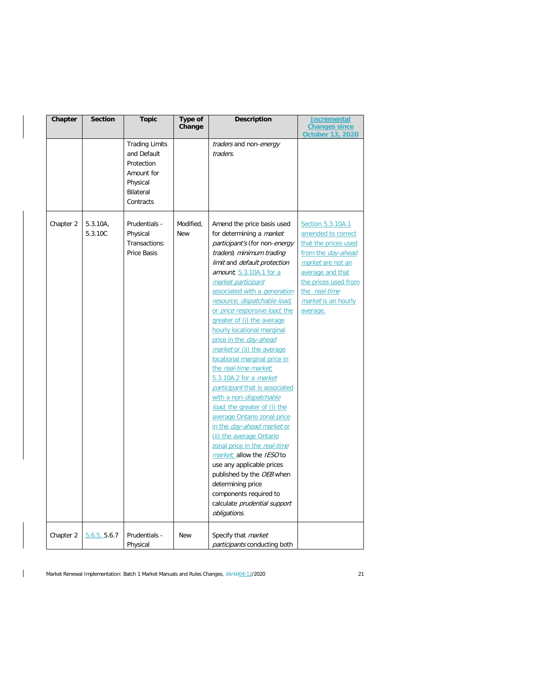| Chapter   | <b>Section</b>      | <b>Topic</b>                                                                                           | <b>Type of</b><br>Change | <b>Description</b>                                                                                                                                                                                                                                                                                                                                                                                                                                                                                                                                                                                                                                                                                                                                                                                                                                                                                                                                   | <b>Incremental</b><br><b>Changes since</b><br><b>October 13, 2020</b>                                                                                                                                      |
|-----------|---------------------|--------------------------------------------------------------------------------------------------------|--------------------------|------------------------------------------------------------------------------------------------------------------------------------------------------------------------------------------------------------------------------------------------------------------------------------------------------------------------------------------------------------------------------------------------------------------------------------------------------------------------------------------------------------------------------------------------------------------------------------------------------------------------------------------------------------------------------------------------------------------------------------------------------------------------------------------------------------------------------------------------------------------------------------------------------------------------------------------------------|------------------------------------------------------------------------------------------------------------------------------------------------------------------------------------------------------------|
|           |                     | <b>Trading Limits</b><br>and Default<br>Protection<br>Amount for<br>Physical<br>Bilateral<br>Contracts |                          | traders and non-energy<br>traders.                                                                                                                                                                                                                                                                                                                                                                                                                                                                                                                                                                                                                                                                                                                                                                                                                                                                                                                   |                                                                                                                                                                                                            |
| Chapter 2 | 5.3.10A,<br>5.3.10C | Prudentials -<br>Physical<br>Transactions:<br>Price Basis                                              | Modified,<br><b>New</b>  | Amend the price basis used<br>for determining a <i>market</i><br>participant's (for non-energy<br>traders) minimum trading<br>limit and default protection<br>amount, 5.3.10A.1 for a<br>market participant<br>associated with a <i>generation</i><br>resource, dispatchable load,<br>or price responsive load, the<br>greater of (i) the average<br>hourly locational marginal<br>price in the day-ahead<br>market or (ii) the average<br>locational marginal price in<br>the real-time market;<br>5.3.10A.2 for a <i>market</i><br>participant that is associated<br>with a non-dispatchable<br>load, the greater of (i) the<br>average Ontario zonal price<br>in the <i>day-ahead market</i> or<br>(ii) the average Ontario<br>zonal price in the real-time<br>market; allow the IESO to<br>use any applicable prices<br>published by the OEB when<br>determining price<br>components required to<br>calculate prudential support<br>obligations. | Section 5.3.10A.1<br>amended to correct<br>that the prices used<br>from the day-ahead<br>market are not an<br>average and that<br>the prices used from<br>the real-time<br>market is an hourly<br>average. |
| Chapter 2 | 5.6.5, 5.6.7        | Prudentials -<br>Physical                                                                              | <b>New</b>               | Specify that <i>market</i><br><i>participants</i> conducting both                                                                                                                                                                                                                                                                                                                                                                                                                                                                                                                                                                                                                                                                                                                                                                                                                                                                                    |                                                                                                                                                                                                            |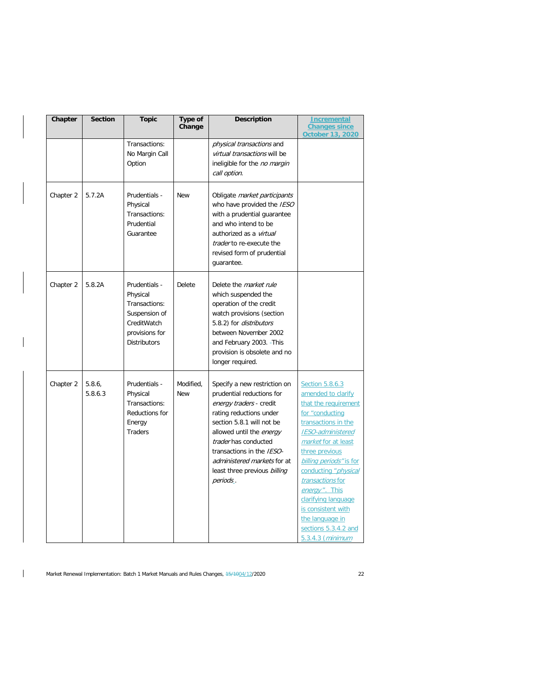| Chapter   | <b>Section</b>   | <b>Topic</b>                                                                                                        | Type of<br>Change       | <b>Description</b>                                                                                                                                                                                                                                                                                       | Incremental<br><b>Changes since</b><br><b>October 13, 2020</b>                                                                                                                                                                                                                                                                                                                           |
|-----------|------------------|---------------------------------------------------------------------------------------------------------------------|-------------------------|----------------------------------------------------------------------------------------------------------------------------------------------------------------------------------------------------------------------------------------------------------------------------------------------------------|------------------------------------------------------------------------------------------------------------------------------------------------------------------------------------------------------------------------------------------------------------------------------------------------------------------------------------------------------------------------------------------|
|           |                  | Transactions:<br>No Margin Call<br>Option                                                                           |                         | <i>physical transactions</i> and<br>virtual transactions will be<br>ineligible for the no margin<br>call option.                                                                                                                                                                                         |                                                                                                                                                                                                                                                                                                                                                                                          |
| Chapter 2 | 5.7.2A           | Prudentials -<br>Physical<br>Transactions:<br>Prudential<br>Guarantee                                               | <b>New</b>              | Obligate market participants<br>who have provided the IESO<br>with a prudential quarantee<br>and who intend to be<br>authorized as a virtual<br>trader to re-execute the<br>revised form of prudential<br>guarantee.                                                                                     |                                                                                                                                                                                                                                                                                                                                                                                          |
| Chapter 2 | 5.8.2A           | Prudentials -<br>Physical<br>Transactions:<br>Suspension of<br>CreditWatch<br>provisions for<br><b>Distributors</b> | Delete                  | Delete the <i>market rule</i><br>which suspended the<br>operation of the credit<br>watch provisions (section<br>5.8.2) for <i>distributors</i><br>between November 2002<br>and February 2003. - This<br>provision is obsolete and no<br>longer required.                                                 |                                                                                                                                                                                                                                                                                                                                                                                          |
| Chapter 2 | 5.8.6<br>5.8.6.3 | Prudentials -<br>Physical<br>Transactions:<br>Reductions for<br>Energy<br><b>Traders</b>                            | Modified,<br><b>New</b> | Specify a new restriction on<br>prudential reductions for<br>energy traders - credit<br>rating reductions under<br>section 5.8.1 will not be<br>allowed until the energy<br>trader has conducted<br>transactions in the IESO-<br>administered markets for at<br>least three previous billing<br>periods. | Section 5.8.6.3<br>amended to clarify<br>that the requirement<br>for "conducting<br>transactions in the<br>IESO-administered<br>market for at least<br>three previous<br>billing periods" is for<br>conducting " <i>physical</i><br>transactions for<br>energy". This<br>clarifying language<br>is consistent with<br>the language in<br>sections 5.3.4.2 and<br><u>5.3.4.3 (minimum</u> |

 $\overline{\phantom{a}}$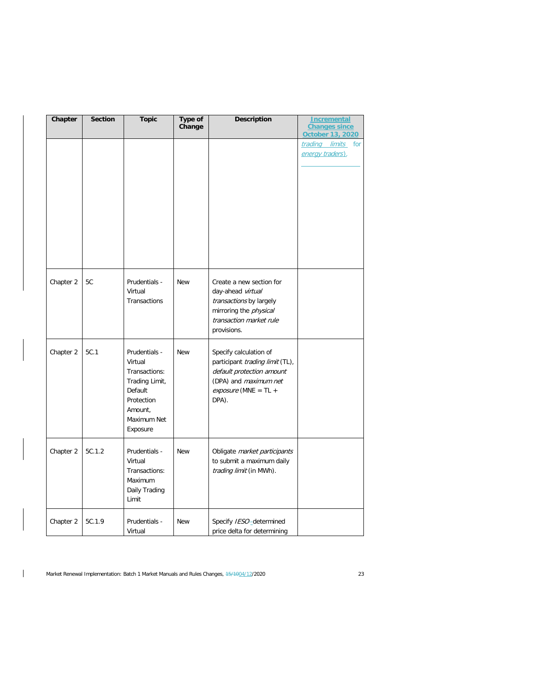| Chapter   | <b>Section</b> | <b>Topic</b>                                                                                                               | Type of<br>Change | Description                                                                                                                                         | <b>Incremental</b><br><b>Changes since</b><br>October 13, 2020 |
|-----------|----------------|----------------------------------------------------------------------------------------------------------------------------|-------------------|-----------------------------------------------------------------------------------------------------------------------------------------------------|----------------------------------------------------------------|
|           |                |                                                                                                                            |                   |                                                                                                                                                     | trading limits for<br>energy traders).                         |
|           |                |                                                                                                                            |                   |                                                                                                                                                     |                                                                |
|           |                |                                                                                                                            |                   |                                                                                                                                                     |                                                                |
| Chapter 2 | 5C             | Prudentials -<br>Virtual<br>Transactions                                                                                   | <b>New</b>        | Create a new section for<br>day-ahead virtual<br>transactions by largely<br>mirroring the <i>physical</i><br>transaction market rule<br>provisions. |                                                                |
| Chapter 2 | 5C.1           | Prudentials -<br>Virtual<br>Transactions:<br>Trading Limit,<br>Default<br>Protection<br>Amount,<br>Maximum Net<br>Exposure | <b>New</b>        | Specify calculation of<br>participant trading limit (TL),<br>default protection amount<br>(DPA) and maximum net<br>$exposure$ (MNE = TL +<br>DPA).  |                                                                |
| Chapter 2 | 5C.1.2         | Prudentials -<br>Virtual<br>Transactions:<br>Maximum<br>Daily Trading<br>Limit                                             | <b>New</b>        | Obligate market participants<br>to submit a maximum daily<br>trading limit (in MWh).                                                                |                                                                |
| Chapter 2 | 5C.1.9         | Prudentials -<br>Virtual                                                                                                   | <b>New</b>        | Specify IESO-determined<br>price delta for determining                                                                                              |                                                                |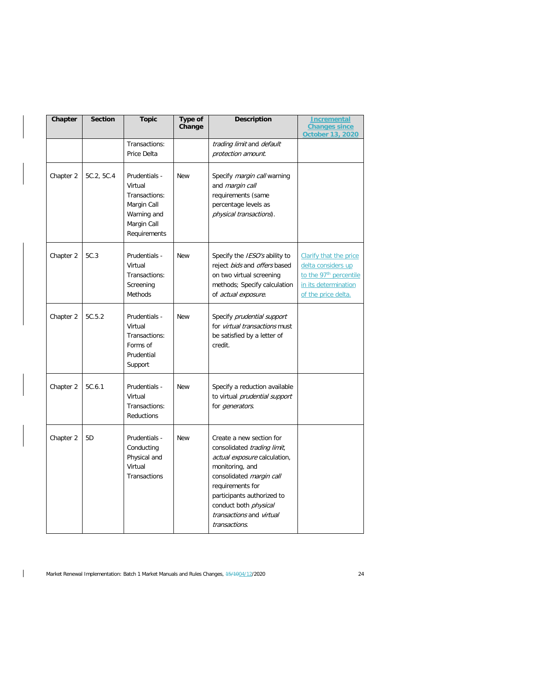| Chapter   | <b>Section</b> | <b>Topic</b>                                                                                           | Type of<br>Change | <b>Description</b>                                                                                                                                                                                                                                                    | Incremental<br><b>Changes since</b><br>October 13, 2020                                                                                  |
|-----------|----------------|--------------------------------------------------------------------------------------------------------|-------------------|-----------------------------------------------------------------------------------------------------------------------------------------------------------------------------------------------------------------------------------------------------------------------|------------------------------------------------------------------------------------------------------------------------------------------|
|           |                | Transactions:<br>Price Delta                                                                           |                   | trading limit and default<br>protection amount.                                                                                                                                                                                                                       |                                                                                                                                          |
| Chapter 2 | 5C.2, 5C.4     | Prudentials -<br>Virtual<br>Transactions:<br>Margin Call<br>Warning and<br>Margin Call<br>Requirements | <b>New</b>        | Specify <i>margin call</i> warning<br>and margin call<br>requirements (same<br>percentage levels as<br>physical transactions).                                                                                                                                        |                                                                                                                                          |
| Chapter 2 | 5C.3           | Prudentials -<br>Virtual<br>Transactions:<br>Screening<br>Methods                                      | <b>New</b>        | Specify the <i>IESO's</i> ability to<br>reject bids and offers based<br>on two virtual screening<br>methods; Specify calculation<br>of actual exposure.                                                                                                               | <b>Clarify that the price</b><br>delta considers up<br>to the 97 <sup>th</sup> percentile<br>in its determination<br>of the price delta. |
| Chapter 2 | 5C.5.2         | Prudentials -<br>Virtual<br>Transactions:<br>Forms of<br>Prudential<br>Support                         | <b>New</b>        | Specify prudential support<br>for <i>virtual transactions</i> must<br>be satisfied by a letter of<br>credit.                                                                                                                                                          |                                                                                                                                          |
| Chapter 2 | 5C.6.1         | Prudentials -<br>Virtual<br>Transactions:<br>Reductions                                                | <b>New</b>        | Specify a reduction available<br>to virtual prudential support<br>for <i>generators</i> .                                                                                                                                                                             |                                                                                                                                          |
| Chapter 2 | 5D             | Prudentials -<br>Conducting<br>Physical and<br>Virtual<br>Transactions                                 | <b>New</b>        | Create a new section for<br>consolidated trading limit,<br>actual exposure calculation,<br>monitoring, and<br>consolidated margin call<br>requirements for<br>participants authorized to<br>conduct both <i>physical</i><br>transactions and virtual<br>transactions. |                                                                                                                                          |

 $\mathbf{I}$